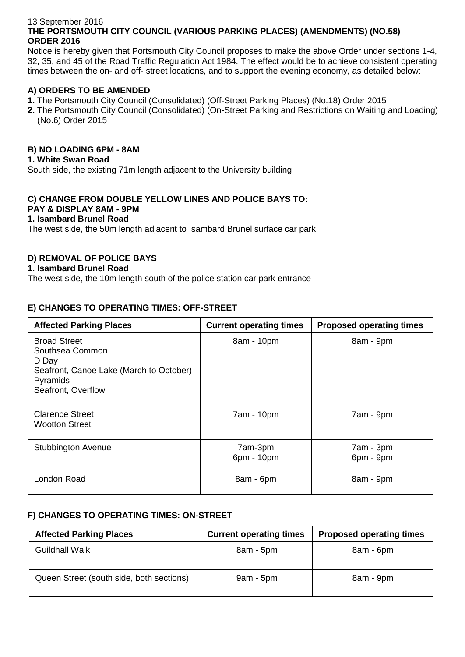#### 13 September 2016 **THE PORTSMOUTH CITY COUNCIL (VARIOUS PARKING PLACES) (AMENDMENTS) (NO.58) ORDER 2016**

Notice is hereby given that Portsmouth City Council proposes to make the above Order under sections 1-4, 32, 35, and 45 of the Road Traffic Regulation Act 1984. The effect would be to achieve consistent operating times between the on- and off- street locations, and to support the evening economy, as detailed below:

# **A) ORDERS TO BE AMENDED**

- **1.** The Portsmouth City Council (Consolidated) (Off-Street Parking Places) (No.18) Order 2015
- **2.** The Portsmouth City Council (Consolidated) (On-Street Parking and Restrictions on Waiting and Loading) (No.6) Order 2015

### **B) NO LOADING 6PM - 8AM**

#### **1. White Swan Road**

South side, the existing 71m length adjacent to the University building

# **C) CHANGE FROM DOUBLE YELLOW LINES AND POLICE BAYS TO: PAY & DISPLAY 8AM - 9PM**

# **1. Isambard Brunel Road**

The west side, the 50m length adjacent to Isambard Brunel surface car park

### **D) REMOVAL OF POLICE BAYS**

#### **1. Isambard Brunel Road**

The west side, the 10m length south of the police station car park entrance

### **E) CHANGES TO OPERATING TIMES: OFF-STREET**

| <b>Affected Parking Places</b>                                                                                               | <b>Current operating times</b> | <b>Proposed operating times</b> |
|------------------------------------------------------------------------------------------------------------------------------|--------------------------------|---------------------------------|
| <b>Broad Street</b><br>Southsea Common<br>D Day<br>Seafront, Canoe Lake (March to October)<br>Pyramids<br>Seafront, Overflow | 8am - 10pm                     | 8am - 9pm                       |
| <b>Clarence Street</b><br><b>Wootton Street</b>                                                                              | 7am - 10pm                     | 7am - 9pm                       |
| <b>Stubbington Avenue</b>                                                                                                    | 7am-3pm<br>6pm - 10pm          | 7am - 3pm<br>6pm - 9pm          |
| London Road                                                                                                                  | 8am - 6pm                      | 8am - 9pm                       |

### **F) CHANGES TO OPERATING TIMES: ON-STREET**

| <b>Affected Parking Places</b>           | <b>Current operating times</b> | <b>Proposed operating times</b> |
|------------------------------------------|--------------------------------|---------------------------------|
| <b>Guildhall Walk</b>                    | $8am - 5pm$                    | 8am - 6pm                       |
| Queen Street (south side, both sections) | $9am - 5pm$                    | 8am - 9pm                       |